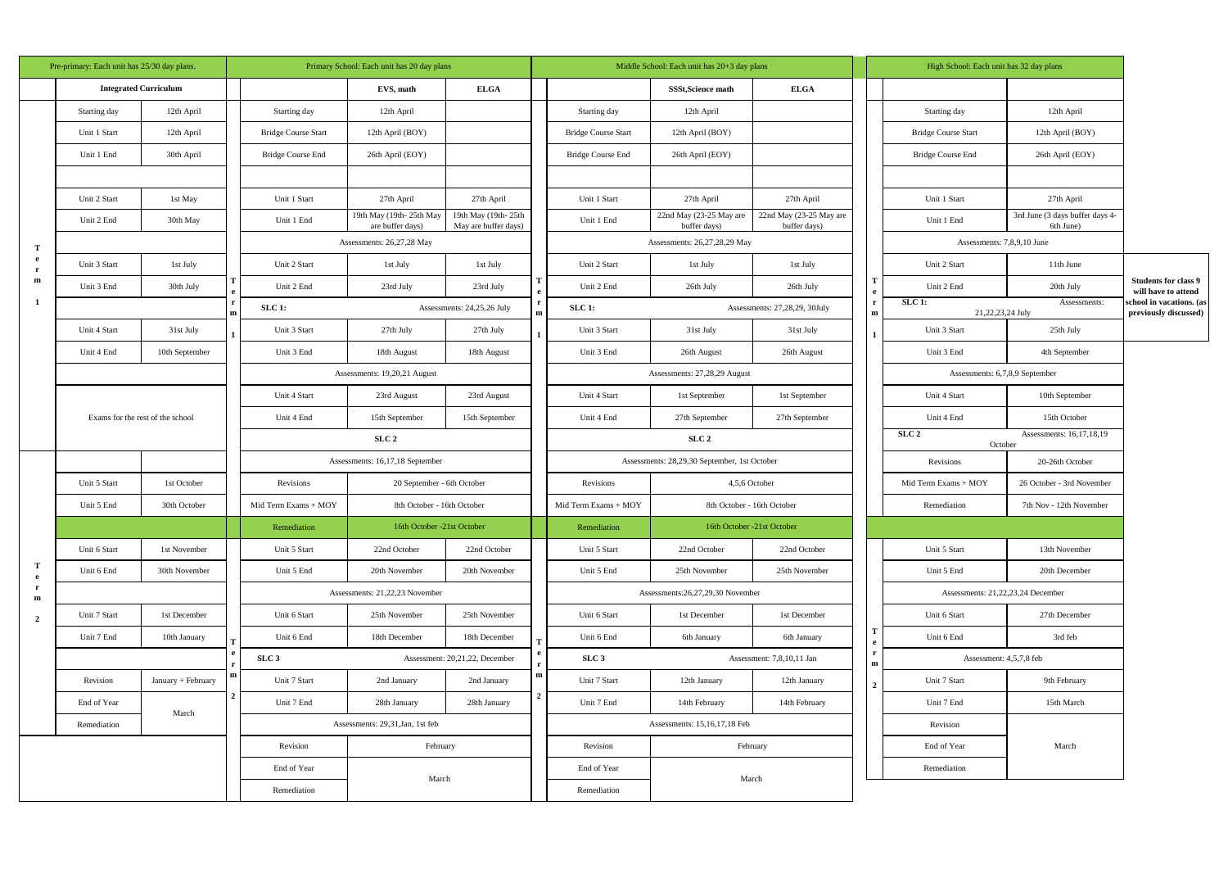| Pre-primary: Each unit has 25/30 day plans. |                                  |                              |                                         | Primary School: Each unit has 20 day plans         |                                             |                                             |                                               | Middle School: Each unit has 20+3 day plans  |                                         |                                         |                                | High School: Each unit has 32 day plans |                                              |                                                    |
|---------------------------------------------|----------------------------------|------------------------------|-----------------------------------------|----------------------------------------------------|---------------------------------------------|---------------------------------------------|-----------------------------------------------|----------------------------------------------|-----------------------------------------|-----------------------------------------|--------------------------------|-----------------------------------------|----------------------------------------------|----------------------------------------------------|
|                                             |                                  | <b>Integrated Curriculum</b> |                                         |                                                    | EVS, math                                   | <b>ELGA</b>                                 |                                               |                                              | <b>SSSt, Science math</b>               | <b>ELGA</b>                             |                                |                                         |                                              |                                                    |
| Т<br>e<br>$\mathbf{r}$                      | Starting day                     | 12th April                   |                                         | Starting day                                       | 12th April                                  |                                             |                                               | Starting day                                 | 12th April                              |                                         |                                | Starting day                            | 12th April                                   |                                                    |
|                                             | Unit 1 Start                     | 12th April                   |                                         | <b>Bridge Course Start</b>                         | 12th April (BOY)                            |                                             |                                               | <b>Bridge Course Start</b>                   | 12th April (BOY)                        |                                         |                                | <b>Bridge Course Start</b>              | 12th April (BOY)                             |                                                    |
|                                             | Unit 1 End                       | 30th April                   |                                         | Bridge Course End                                  | 26th April (EOY)                            |                                             |                                               | <b>Bridge Course End</b>                     | 26th April (EOY)                        |                                         |                                | <b>Bridge Course End</b>                | 26th April (EOY)                             |                                                    |
|                                             |                                  |                              |                                         |                                                    |                                             |                                             |                                               |                                              |                                         |                                         |                                |                                         |                                              |                                                    |
|                                             | Unit 2 Start                     | 1st May                      |                                         | Unit 1 Start                                       | 27th April                                  | 27th April                                  |                                               | Unit 1 Start                                 | 27th April                              | 27th April                              |                                | Unit 1 Start                            | 27th April                                   |                                                    |
|                                             | Unit 2 End                       | 30th May                     |                                         | Unit 1 End                                         | 19th May (19th-25th May<br>are buffer days) | 19th May (19th-25th<br>May are buffer days) |                                               | Unit 1 End                                   | 22nd May (23-25 May are<br>buffer days) | 22nd May (23-25 May are<br>buffer days) |                                | Unit 1 End                              | 3rd June (3 days buffer days 4-<br>6th June) |                                                    |
|                                             |                                  |                              |                                         |                                                    | Assessments: 26,27,28 May                   |                                             |                                               | Assessments: 26,27,28,29 May                 |                                         |                                         | Assessments: 7,8,9,10 June     |                                         |                                              |                                                    |
|                                             | Unit 3 Start                     | 1st July                     |                                         | Unit 2 Start                                       | 1st July                                    | 1st July                                    |                                               | Unit 2 Start                                 | 1st July                                | 1st July                                |                                | Unit 2 Start                            | 11th June                                    |                                                    |
| m                                           | Unit 3 End                       | 30th July                    |                                         | Unit 2 End                                         | 23rd July                                   | 23rd July                                   |                                               | Unit 2 End                                   | 26th July                               | 26th July                               |                                | Unit 2 End                              | 20th July                                    | <b>Students for class 9</b><br>will have to attend |
| -1                                          |                                  |                              |                                         | SLC 1:                                             | Assessments: 24,25,26 July                  |                                             |                                               | $SLC$ 1:                                     |                                         | Assessments: 27,28,29, 30July           | m                              | <b>SLC 1:</b><br>21,22,23,24 July       | Assessments:                                 | school in vacations. (as<br>previously discussed)  |
|                                             | Unit 4 Start                     | 31st July                    |                                         | Unit 3 Start                                       | 27th July                                   | 27th July                                   |                                               | Unit 3 Start                                 | 31st July                               | 31st July                               |                                | Unit 3 Start                            | 25th July                                    |                                                    |
|                                             | Unit 4 End                       | 10th September               |                                         | Unit 3 End                                         | 18th August                                 | 18th August                                 |                                               | Unit 3 End                                   | 26th August                             | 26th August                             |                                | Unit 3 End                              | 4th September                                |                                                    |
|                                             |                                  |                              |                                         | Assessments: 19,20,21 August                       |                                             |                                             |                                               | Assessments: 27,28,29 August                 |                                         |                                         | Assessments: 6,7,8,9 September |                                         |                                              |                                                    |
|                                             |                                  |                              |                                         | Unit 4 Start                                       | 23rd August                                 | 23rd August                                 |                                               | Unit 4 Start                                 | 1st September                           | 1st September                           |                                | Unit 4 Start                            | 10th September                               |                                                    |
|                                             | Exams for the rest of the school |                              |                                         | Unit 4 End                                         | 15th September                              | 15th September                              |                                               | Unit 4 End                                   | 27th September                          | 27th September                          |                                | Unit 4 End                              | 15th October                                 |                                                    |
|                                             |                                  |                              |                                         | SLC <sub>2</sub>                                   |                                             | SLC <sub>2</sub>                            |                                               |                                              | SLC <sub>2</sub><br>October             | Assessments: 16,17,18,19                |                                |                                         |                                              |                                                    |
|                                             |                                  |                              |                                         | Assessments: 16,17,18 September                    |                                             |                                             |                                               | Assessments: 28,29,30 September, 1st October |                                         |                                         | Revisions                      | 20-26th October                         |                                              |                                                    |
|                                             | Unit 5 Start                     | 1st October                  | Revisions<br>20 September - 6th October |                                                    |                                             |                                             | Revisions                                     | 4,5,6 October                                |                                         |                                         | Mid Term Exams + MOY           | 26 October - 3rd November               |                                              |                                                    |
|                                             | Unit 5 End                       | 30th October                 |                                         | Mid Term Exams + MOY                               | 8th October - 16th October                  |                                             |                                               | Mid Term Exams + MOY                         | 8th October - 16th October              |                                         |                                | Remediation                             | 7th Nov - 12th November                      |                                                    |
|                                             |                                  |                              |                                         | Remediation                                        | 16th October -21st October                  |                                             |                                               | Remediation                                  | 16th October -21st October              |                                         |                                |                                         |                                              |                                                    |
|                                             | Unit 6 Start                     | 1st November                 |                                         | Unit 5 Start                                       | 22nd October                                | 22nd October                                |                                               | Unit 5 Start                                 | 22nd October                            | 22nd October                            |                                | Unit 5 Start                            | 13th November                                |                                                    |
| Т<br>$\mathbf{e}$                           | Unit 6 End                       | 30th November                |                                         | Unit 5 End                                         | 20th November                               | 20th November                               |                                               | Unit 5 End                                   | 25th November                           | 25th November                           |                                | Unit 5 End                              | 20th December                                |                                                    |
| $\mathbf{r}$<br>${\bf m}$                   |                                  |                              |                                         |                                                    | Assessments: 21,22,23 November              |                                             |                                               |                                              | Assessments: 26, 27, 29, 30 November    |                                         |                                | Assessments: 21,22,23,24 December       |                                              |                                                    |
| $\overline{2}$                              | Unit 7 Start                     | 1st December                 |                                         | Unit 6 Start                                       | 25th November                               | 25th November                               |                                               | Unit 6 Start                                 | 1st December                            | 1st December                            |                                | Unit 6 Start                            | 27th December                                |                                                    |
|                                             | Unit 7 End                       | 10th January                 |                                         | Unit 6 End                                         | 18th December                               | 18th December                               |                                               | Unit 6 End                                   | 6th January                             | 6th January                             |                                | Unit 6 End                              | 3rd feb                                      |                                                    |
|                                             |                                  |                              |                                         | SLC <sub>3</sub><br>Assessment: 20,21,22, December |                                             |                                             | SLC <sub>3</sub><br>Assessment: 7,8,10,11 Jan |                                              | m                                       | Assessment: 4,5,7,8 feb                 |                                |                                         |                                              |                                                    |
|                                             | Revision                         | January + February           |                                         | Unit 7 Start                                       | 2nd January                                 | 2nd January                                 | m                                             | Unit 7 Start                                 | 12th January                            | 12th January                            | $\overline{2}$                 | Unit 7 Start                            | 9th February                                 |                                                    |
|                                             | End of Year                      | March                        |                                         | Unit 7 End                                         | 28th January                                | 28th January                                |                                               | Unit 7 End                                   | 14th February                           | 14th February                           |                                | Unit 7 End                              | 15th March                                   |                                                    |
|                                             | Remediation                      |                              |                                         | Assessments: 29,31, Jan, 1st feb                   |                                             |                                             | Assessments: 15,16,17,18 Feb                  |                                              |                                         | Revision                                |                                |                                         |                                              |                                                    |
|                                             |                                  |                              |                                         | Revision                                           |                                             | February                                    |                                               | Revision                                     | February                                |                                         |                                | End of Year                             | March                                        |                                                    |
|                                             |                                  |                              |                                         | End of Year                                        | March                                       |                                             |                                               | End of Year                                  |                                         | March                                   |                                | Remediation                             |                                              |                                                    |
|                                             |                                  |                              |                                         | Remediation                                        |                                             |                                             |                                               | Remediation                                  |                                         |                                         |                                |                                         |                                              |                                                    |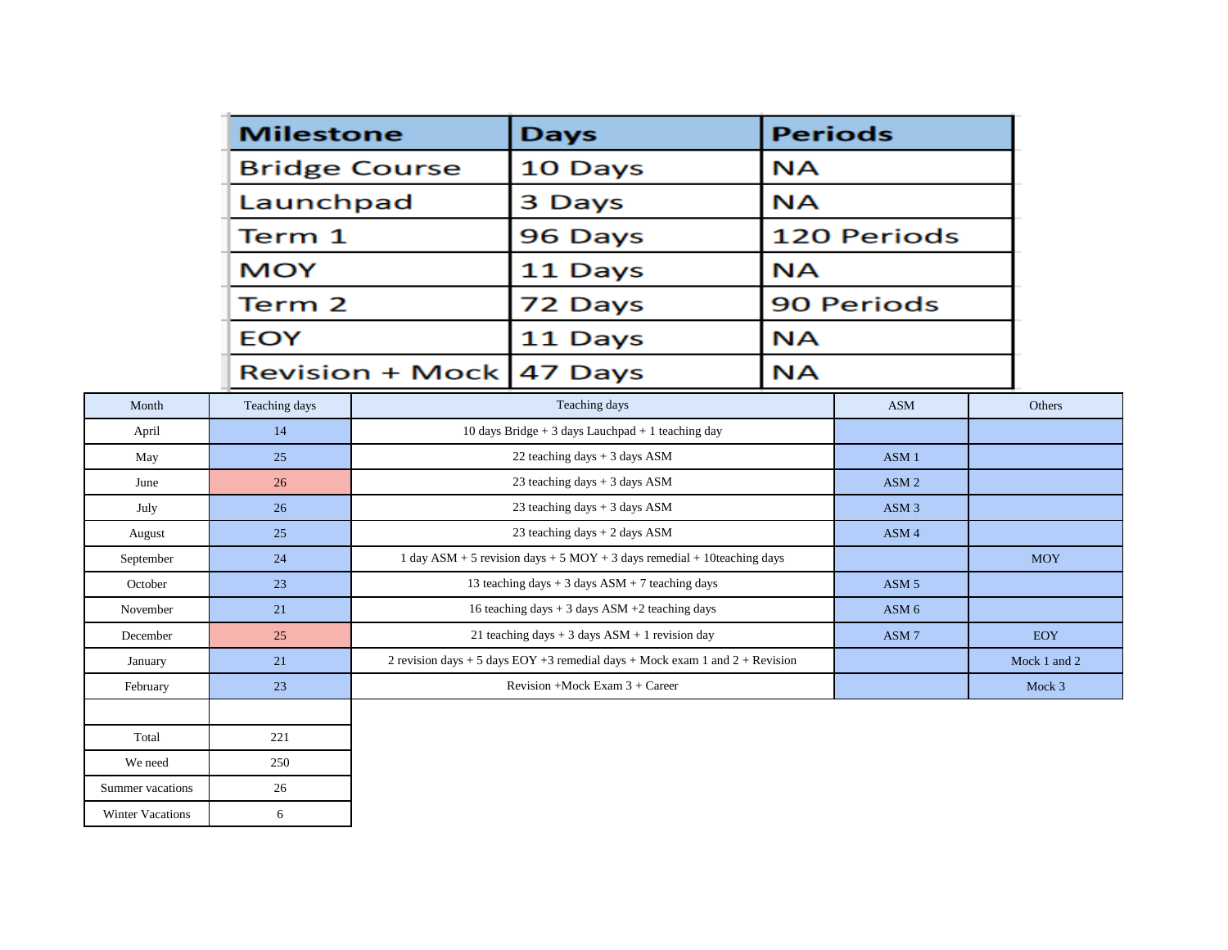|                         | <b>Milestone</b> |                                                   | <b>Days</b>                                                                    |                        | <b>Periods</b>                 |              |  |
|-------------------------|------------------|---------------------------------------------------|--------------------------------------------------------------------------------|------------------------|--------------------------------|--------------|--|
|                         |                  | <b>Bridge Course</b>                              | 10 Days                                                                        | <b>NA</b>              |                                |              |  |
|                         | Launchpad        |                                                   | 3 Days                                                                         | ΝA                     |                                |              |  |
|                         | Term 1           |                                                   | 96 Days                                                                        |                        | <b>120 Periods</b>             |              |  |
|                         | <b>MOY</b>       |                                                   | 11 Days                                                                        |                        | <b>NA</b><br><b>90 Periods</b> |              |  |
|                         | Term 2           |                                                   | 72 Days                                                                        |                        |                                |              |  |
|                         |                  |                                                   |                                                                                |                        |                                |              |  |
|                         | <b>EOY</b>       |                                                   | 11 Days                                                                        | <b>NA</b><br><b>NA</b> |                                |              |  |
|                         |                  | <b>Revision + Mock</b>                            | 47 Days                                                                        |                        |                                |              |  |
| Month                   | Teaching days    | Teaching days                                     |                                                                                |                        | <b>ASM</b>                     | Others       |  |
| April                   | 14               |                                                   | 10 days Bridge $+3$ days Lauchpad $+1$ teaching day                            |                        |                                |              |  |
| May                     | 25               |                                                   | 22 teaching days + 3 days ASM                                                  |                        | ASM <sub>1</sub>               |              |  |
| June                    | 26               |                                                   | 23 teaching days $+3$ days ASM                                                 |                        | ASM <sub>2</sub>               |              |  |
| July                    | 26               |                                                   | 23 teaching days + 3 days ASM                                                  |                        | ASM <sub>3</sub>               |              |  |
| August                  | 25               |                                                   | 23 teaching days + 2 days ASM                                                  |                        | ASM 4                          |              |  |
| September               | 24               |                                                   | 1 day ASM + 5 revision days + 5 MOY + 3 days remedial + 10teaching days        |                        |                                | <b>MOY</b>   |  |
| October                 | 23               | 13 teaching days $+3$ days ASM $+7$ teaching days |                                                                                | ASM <sub>5</sub>       |                                |              |  |
| November                | 21               |                                                   | 16 teaching days $+3$ days ASM $+2$ teaching days                              |                        |                                |              |  |
| December                | 25               |                                                   | 21 teaching days $+3$ days ASM $+1$ revision day                               |                        | ASM <sub>7</sub>               | <b>EOY</b>   |  |
| January                 | 21               |                                                   | 2 revision days + 5 days EOY +3 remedial days + Mock exam 1 and $2 +$ Revision |                        |                                | Mock 1 and 2 |  |
| 23<br>February          |                  |                                                   | Revision +Mock Exam 3 + Career                                                 |                        |                                | Mock 3       |  |
|                         |                  |                                                   |                                                                                |                        |                                |              |  |
| Total                   | 221              |                                                   |                                                                                |                        |                                |              |  |
| We need                 | 250              |                                                   |                                                                                |                        |                                |              |  |
| Summer vacations        | 26               |                                                   |                                                                                |                        |                                |              |  |
| <b>Winter Vacations</b> | 6                |                                                   |                                                                                |                        |                                |              |  |